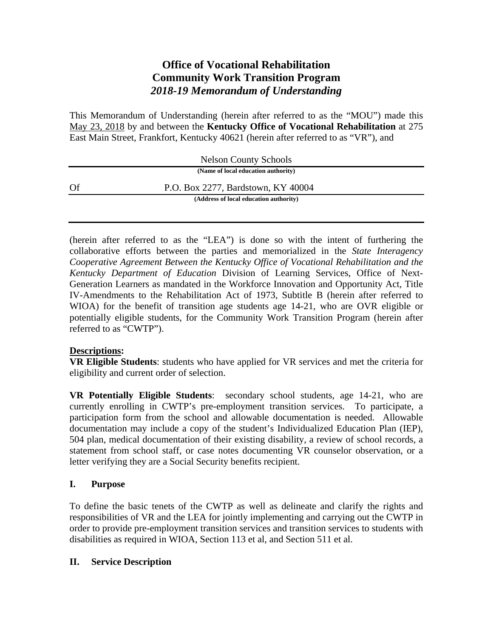# **Office of Vocational Rehabilitation Community Work Transition Program**  *2018-19 Memorandum of Understanding*

This Memorandum of Understanding (herein after referred to as the "MOU") made this May 23, 2018 by and between the **Kentucky Office of Vocational Rehabilitation** at 275 East Main Street, Frankfort, Kentucky 40621 (herein after referred to as "VR"), and

|      | <b>Nelson County Schools</b>           |  |
|------|----------------------------------------|--|
|      | (Name of local education authority)    |  |
| - Of | P.O. Box 2277, Bardstown, KY 40004     |  |
|      | (Address of local education authority) |  |

(herein after referred to as the "LEA") is done so with the intent of furthering the collaborative efforts between the parties and memorialized in the *State Interagency Cooperative Agreement Between the Kentucky Office of Vocational Rehabilitation and the Kentucky Department of Education* Division of Learning Services, Office of Next-Generation Learners as mandated in the Workforce Innovation and Opportunity Act, Title IV-Amendments to the Rehabilitation Act of 1973, Subtitle B (herein after referred to WIOA) for the benefit of transition age students age 14-21, who are OVR eligible or potentially eligible students, for the Community Work Transition Program (herein after referred to as "CWTP").

## **Descriptions:**

**VR Eligible Students**: students who have applied for VR services and met the criteria for eligibility and current order of selection.

**VR Potentially Eligible Students**: secondary school students, age 14-21, who are currently enrolling in CWTP's pre-employment transition services. To participate, a participation form from the school and allowable documentation is needed. Allowable documentation may include a copy of the student's Individualized Education Plan (IEP), 504 plan, medical documentation of their existing disability, a review of school records, a statement from school staff, or case notes documenting VR counselor observation, or a letter verifying they are a Social Security benefits recipient.

## **I. Purpose**

To define the basic tenets of the CWTP as well as delineate and clarify the rights and responsibilities of VR and the LEA for jointly implementing and carrying out the CWTP in order to provide pre-employment transition services and transition services to students with disabilities as required in WIOA, Section 113 et al, and Section 511 et al.

## **II. Service Description**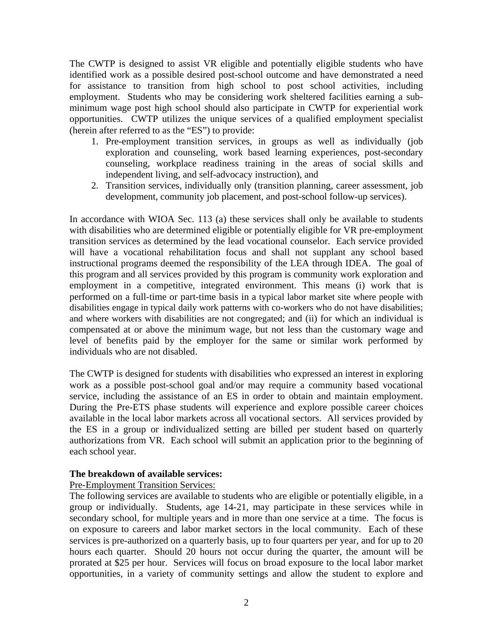The CWTP is designed to assist VR eligible and potentially eligible students who have identified work as a possible desired post-school outcome and have demonstrated a need for assistance to transition from high school to post school activities, including employment. Students who may be considering work sheltered facilities earning a subminimum wage post high school should also participate in CWTP for experiential work opportunities. CWTP utilizes the unique services of a qualified employment specialist (herein after referred to as the "ES") to provide:

- 1. Pre-employment transition services, in groups as well as individually (job exploration and counseling, work based learning experiences, post-secondary counseling, workplace readiness training in the areas of social skills and independent living, and self-advocacy instruction), and
- 2. Transition services, individually only (transition planning, career assessment, job development, community job placement, and post-school follow-up services).

In accordance with WIOA Sec. 113 (a) these services shall only be available to students with disabilities who are determined eligible or potentially eligible for VR pre-employment transition services as determined by the lead vocational counselor. Each service provided will have a vocational rehabilitation focus and shall not supplant any school based instructional programs deemed the responsibility of the LEA through IDEA. The goal of this program and all services provided by this program is community work exploration and employment in a competitive, integrated environment. This means (i) work that is performed on a full-time or part-time basis in a typical labor market site where people with disabilities engage in typical daily work patterns with co-workers who do not have disabilities; and where workers with disabilities are not congregated; and (ii) for which an individual is compensated at or above the minimum wage, but not less than the customary wage and level of benefits paid by the employer for the same or similar work performed by individuals who are not disabled.

The CWTP is designed for students with disabilities who expressed an interest in exploring work as a possible post-school goal and/or may require a community based vocational service, including the assistance of an ES in order to obtain and maintain employment. During the Pre-ETS phase students will experience and explore possible career choices available in the local labor markets across all vocational sectors. All services provided by the ES in a group or individualized setting are billed per student based on quarterly authorizations from VR. Each school will submit an application prior to the beginning of each school year.

#### **The breakdown of available services:**

#### Pre-Employment Transition Services:

The following services are available to students who are eligible or potentially eligible, in a group or individually. Students, age 14-21, may participate in these services while in secondary school, for multiple years and in more than one service at a time. The focus is on exposure to careers and labor market sectors in the local community. Each of these services is pre-authorized on a quarterly basis, up to four quarters per year, and for up to 20 hours each quarter. Should 20 hours not occur during the quarter, the amount will be prorated at \$25 per hour. Services will focus on broad exposure to the local labor market opportunities, in a variety of community settings and allow the student to explore and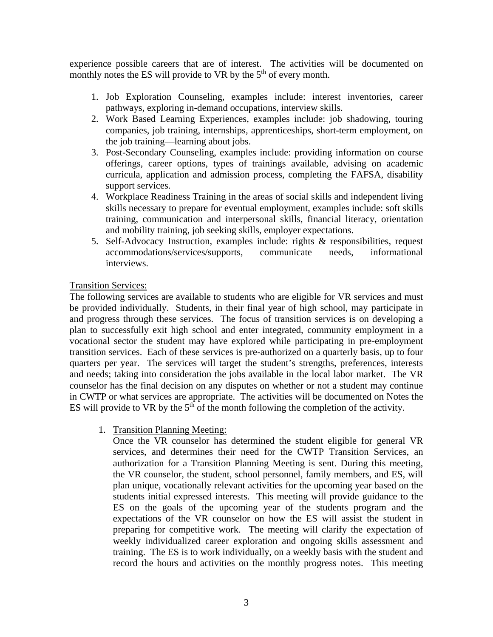experience possible careers that are of interest. The activities will be documented on monthly notes the ES will provide to VR by the  $5<sup>th</sup>$  of every month.

- 1. Job Exploration Counseling, examples include: interest inventories, career pathways, exploring in-demand occupations, interview skills.
- 2. Work Based Learning Experiences, examples include: job shadowing, touring companies, job training, internships, apprenticeships, short-term employment, on the job training—learning about jobs.
- 3. Post-Secondary Counseling, examples include: providing information on course offerings, career options, types of trainings available, advising on academic curricula, application and admission process, completing the FAFSA, disability support services.
- 4. Workplace Readiness Training in the areas of social skills and independent living skills necessary to prepare for eventual employment, examples include: soft skills training, communication and interpersonal skills, financial literacy, orientation and mobility training, job seeking skills, employer expectations.
- 5. Self-Advocacy Instruction, examples include: rights & responsibilities, request accommodations/services/supports, communicate needs, informational interviews.

#### Transition Services:

The following services are available to students who are eligible for VR services and must be provided individually. Students, in their final year of high school, may participate in and progress through these services. The focus of transition services is on developing a plan to successfully exit high school and enter integrated, community employment in a vocational sector the student may have explored while participating in pre-employment transition services. Each of these services is pre-authorized on a quarterly basis, up to four quarters per year. The services will target the student's strengths, preferences, interests and needs; taking into consideration the jobs available in the local labor market. The VR counselor has the final decision on any disputes on whether or not a student may continue in CWTP or what services are appropriate. The activities will be documented on Notes the ES will provide to VR by the  $5<sup>th</sup>$  of the month following the completion of the activity.

1. Transition Planning Meeting:

Once the VR counselor has determined the student eligible for general VR services, and determines their need for the CWTP Transition Services, an authorization for a Transition Planning Meeting is sent. During this meeting, the VR counselor, the student, school personnel, family members, and ES, will plan unique, vocationally relevant activities for the upcoming year based on the students initial expressed interests. This meeting will provide guidance to the ES on the goals of the upcoming year of the students program and the expectations of the VR counselor on how the ES will assist the student in preparing for competitive work. The meeting will clarify the expectation of weekly individualized career exploration and ongoing skills assessment and training. The ES is to work individually, on a weekly basis with the student and record the hours and activities on the monthly progress notes. This meeting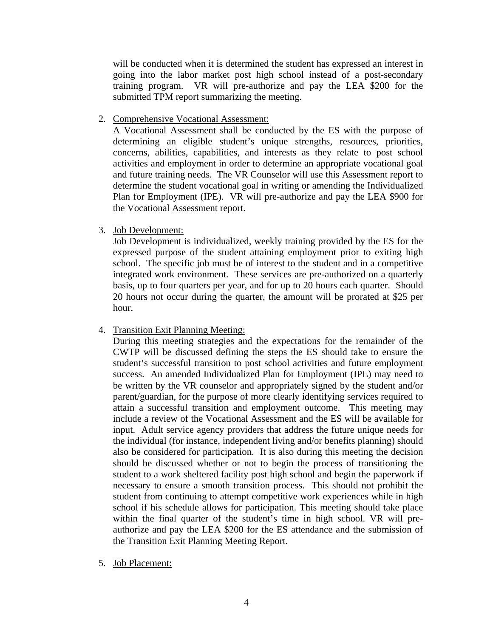will be conducted when it is determined the student has expressed an interest in going into the labor market post high school instead of a post-secondary training program. VR will pre-authorize and pay the LEA \$200 for the submitted TPM report summarizing the meeting.

2. Comprehensive Vocational Assessment:

A Vocational Assessment shall be conducted by the ES with the purpose of determining an eligible student's unique strengths, resources, priorities, concerns, abilities, capabilities, and interests as they relate to post school activities and employment in order to determine an appropriate vocational goal and future training needs. The VR Counselor will use this Assessment report to determine the student vocational goal in writing or amending the Individualized Plan for Employment (IPE). VR will pre-authorize and pay the LEA \$900 for the Vocational Assessment report.

3. Job Development:

Job Development is individualized, weekly training provided by the ES for the expressed purpose of the student attaining employment prior to exiting high school. The specific job must be of interest to the student and in a competitive integrated work environment. These services are pre-authorized on a quarterly basis, up to four quarters per year, and for up to 20 hours each quarter. Should 20 hours not occur during the quarter, the amount will be prorated at \$25 per hour.

4. Transition Exit Planning Meeting:

During this meeting strategies and the expectations for the remainder of the CWTP will be discussed defining the steps the ES should take to ensure the student's successful transition to post school activities and future employment success. An amended Individualized Plan for Employment (IPE) may need to be written by the VR counselor and appropriately signed by the student and/or parent/guardian, for the purpose of more clearly identifying services required to attain a successful transition and employment outcome. This meeting may include a review of the Vocational Assessment and the ES will be available for input. Adult service agency providers that address the future unique needs for the individual (for instance, independent living and/or benefits planning) should also be considered for participation. It is also during this meeting the decision should be discussed whether or not to begin the process of transitioning the student to a work sheltered facility post high school and begin the paperwork if necessary to ensure a smooth transition process. This should not prohibit the student from continuing to attempt competitive work experiences while in high school if his schedule allows for participation. This meeting should take place within the final quarter of the student's time in high school. VR will preauthorize and pay the LEA \$200 for the ES attendance and the submission of the Transition Exit Planning Meeting Report.

5. Job Placement: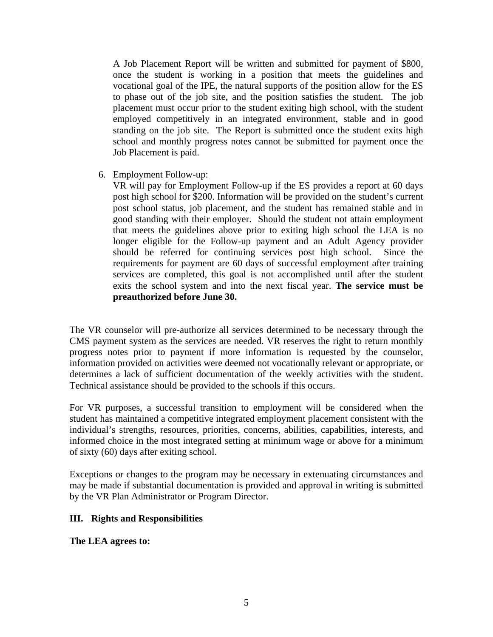A Job Placement Report will be written and submitted for payment of \$800, once the student is working in a position that meets the guidelines and vocational goal of the IPE, the natural supports of the position allow for the ES to phase out of the job site, and the position satisfies the student. The job placement must occur prior to the student exiting high school, with the student employed competitively in an integrated environment, stable and in good standing on the job site. The Report is submitted once the student exits high school and monthly progress notes cannot be submitted for payment once the Job Placement is paid.

6. Employment Follow-up:

VR will pay for Employment Follow-up if the ES provides a report at 60 days post high school for \$200. Information will be provided on the student's current post school status, job placement, and the student has remained stable and in good standing with their employer. Should the student not attain employment that meets the guidelines above prior to exiting high school the LEA is no longer eligible for the Follow-up payment and an Adult Agency provider should be referred for continuing services post high school. Since the requirements for payment are 60 days of successful employment after training services are completed, this goal is not accomplished until after the student exits the school system and into the next fiscal year. **The service must be preauthorized before June 30.**

The VR counselor will pre-authorize all services determined to be necessary through the CMS payment system as the services are needed. VR reserves the right to return monthly progress notes prior to payment if more information is requested by the counselor, information provided on activities were deemed not vocationally relevant or appropriate, or determines a lack of sufficient documentation of the weekly activities with the student. Technical assistance should be provided to the schools if this occurs.

For VR purposes, a successful transition to employment will be considered when the student has maintained a competitive integrated employment placement consistent with the individual's strengths, resources, priorities, concerns, abilities, capabilities, interests, and informed choice in the most integrated setting at minimum wage or above for a minimum of sixty (60) days after exiting school.

Exceptions or changes to the program may be necessary in extenuating circumstances and may be made if substantial documentation is provided and approval in writing is submitted by the VR Plan Administrator or Program Director.

## **III. Rights and Responsibilities**

**The LEA agrees to:**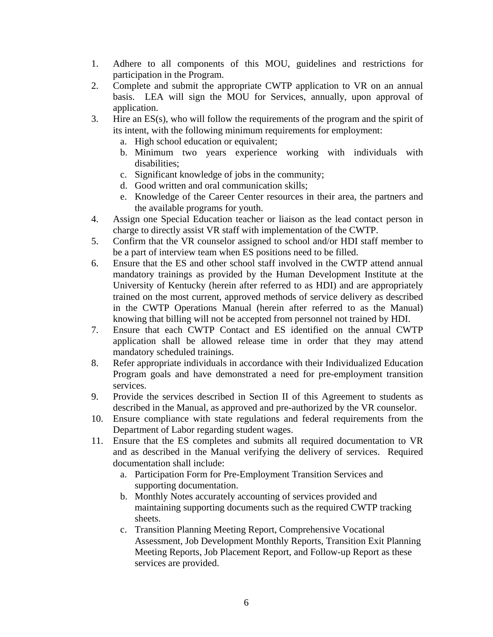- 1. Adhere to all components of this MOU, guidelines and restrictions for participation in the Program.
- 2. Complete and submit the appropriate CWTP application to VR on an annual basis. LEA will sign the MOU for Services, annually, upon approval of application.
- 3. Hire an ES(s), who will follow the requirements of the program and the spirit of its intent, with the following minimum requirements for employment:
	- a. High school education or equivalent;
	- b. Minimum two years experience working with individuals with disabilities;
	- c. Significant knowledge of jobs in the community;
	- d. Good written and oral communication skills;
	- e. Knowledge of the Career Center resources in their area, the partners and the available programs for youth.
- 4. Assign one Special Education teacher or liaison as the lead contact person in charge to directly assist VR staff with implementation of the CWTP.
- 5. Confirm that the VR counselor assigned to school and/or HDI staff member to be a part of interview team when ES positions need to be filled.
- 6. Ensure that the ES and other school staff involved in the CWTP attend annual mandatory trainings as provided by the Human Development Institute at the University of Kentucky (herein after referred to as HDI) and are appropriately trained on the most current, approved methods of service delivery as described in the CWTP Operations Manual (herein after referred to as the Manual) knowing that billing will not be accepted from personnel not trained by HDI.
- 7. Ensure that each CWTP Contact and ES identified on the annual CWTP application shall be allowed release time in order that they may attend mandatory scheduled trainings.
- 8. Refer appropriate individuals in accordance with their Individualized Education Program goals and have demonstrated a need for pre-employment transition services.
- 9. Provide the services described in Section II of this Agreement to students as described in the Manual, as approved and pre-authorized by the VR counselor.
- 10. Ensure compliance with state regulations and federal requirements from the Department of Labor regarding student wages.
- 11. Ensure that the ES completes and submits all required documentation to VR and as described in the Manual verifying the delivery of services. Required documentation shall include:
	- a. Participation Form for Pre-Employment Transition Services and supporting documentation.
	- b. Monthly Notes accurately accounting of services provided and maintaining supporting documents such as the required CWTP tracking sheets.
	- c. Transition Planning Meeting Report, Comprehensive Vocational Assessment, Job Development Monthly Reports, Transition Exit Planning Meeting Reports, Job Placement Report, and Follow-up Report as these services are provided.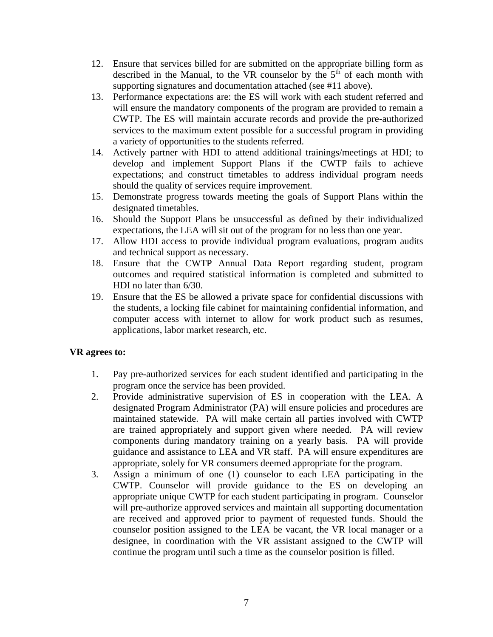- 12. Ensure that services billed for are submitted on the appropriate billing form as described in the Manual, to the VR counselor by the  $5<sup>th</sup>$  of each month with supporting signatures and documentation attached (see #11 above).
- 13. Performance expectations are: the ES will work with each student referred and will ensure the mandatory components of the program are provided to remain a CWTP. The ES will maintain accurate records and provide the pre-authorized services to the maximum extent possible for a successful program in providing a variety of opportunities to the students referred.
- 14. Actively partner with HDI to attend additional trainings/meetings at HDI; to develop and implement Support Plans if the CWTP fails to achieve expectations; and construct timetables to address individual program needs should the quality of services require improvement.
- 15. Demonstrate progress towards meeting the goals of Support Plans within the designated timetables.
- 16. Should the Support Plans be unsuccessful as defined by their individualized expectations, the LEA will sit out of the program for no less than one year.
- 17. Allow HDI access to provide individual program evaluations, program audits and technical support as necessary.
- 18. Ensure that the CWTP Annual Data Report regarding student, program outcomes and required statistical information is completed and submitted to HDI no later than 6/30.
- 19. Ensure that the ES be allowed a private space for confidential discussions with the students, a locking file cabinet for maintaining confidential information, and computer access with internet to allow for work product such as resumes, applications, labor market research, etc.

## **VR agrees to:**

- 1. Pay pre-authorized services for each student identified and participating in the program once the service has been provided.
- 2. Provide administrative supervision of ES in cooperation with the LEA. A designated Program Administrator (PA) will ensure policies and procedures are maintained statewide. PA will make certain all parties involved with CWTP are trained appropriately and support given where needed. PA will review components during mandatory training on a yearly basis. PA will provide guidance and assistance to LEA and VR staff. PA will ensure expenditures are appropriate, solely for VR consumers deemed appropriate for the program.
- 3. Assign a minimum of one (1) counselor to each LEA participating in the CWTP. Counselor will provide guidance to the ES on developing an appropriate unique CWTP for each student participating in program. Counselor will pre-authorize approved services and maintain all supporting documentation are received and approved prior to payment of requested funds. Should the counselor position assigned to the LEA be vacant, the VR local manager or a designee, in coordination with the VR assistant assigned to the CWTP will continue the program until such a time as the counselor position is filled.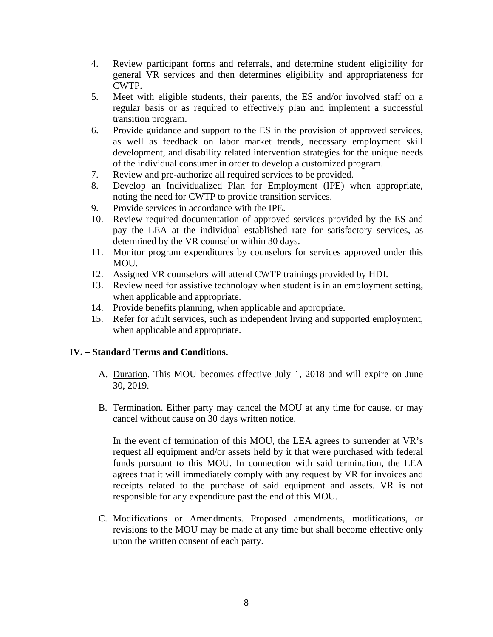- 4. Review participant forms and referrals, and determine student eligibility for general VR services and then determines eligibility and appropriateness for CWTP.
- 5. Meet with eligible students, their parents, the ES and/or involved staff on a regular basis or as required to effectively plan and implement a successful transition program.
- 6. Provide guidance and support to the ES in the provision of approved services, as well as feedback on labor market trends, necessary employment skill development, and disability related intervention strategies for the unique needs of the individual consumer in order to develop a customized program.
- 7. Review and pre-authorize all required services to be provided.
- 8. Develop an Individualized Plan for Employment (IPE) when appropriate, noting the need for CWTP to provide transition services.
- 9. Provide services in accordance with the IPE.
- 10. Review required documentation of approved services provided by the ES and pay the LEA at the individual established rate for satisfactory services, as determined by the VR counselor within 30 days.
- 11. Monitor program expenditures by counselors for services approved under this MOU.
- 12. Assigned VR counselors will attend CWTP trainings provided by HDI.
- 13. Review need for assistive technology when student is in an employment setting, when applicable and appropriate.
- 14. Provide benefits planning, when applicable and appropriate.
- 15. Refer for adult services, such as independent living and supported employment, when applicable and appropriate.

## **IV. – Standard Terms and Conditions.**

- A. Duration. This MOU becomes effective July 1, 2018 and will expire on June 30, 2019.
- B. Termination. Either party may cancel the MOU at any time for cause, or may cancel without cause on 30 days written notice.

In the event of termination of this MOU, the LEA agrees to surrender at VR's request all equipment and/or assets held by it that were purchased with federal funds pursuant to this MOU. In connection with said termination, the LEA agrees that it will immediately comply with any request by VR for invoices and receipts related to the purchase of said equipment and assets. VR is not responsible for any expenditure past the end of this MOU.

C. Modifications or Amendments. Proposed amendments, modifications, or revisions to the MOU may be made at any time but shall become effective only upon the written consent of each party.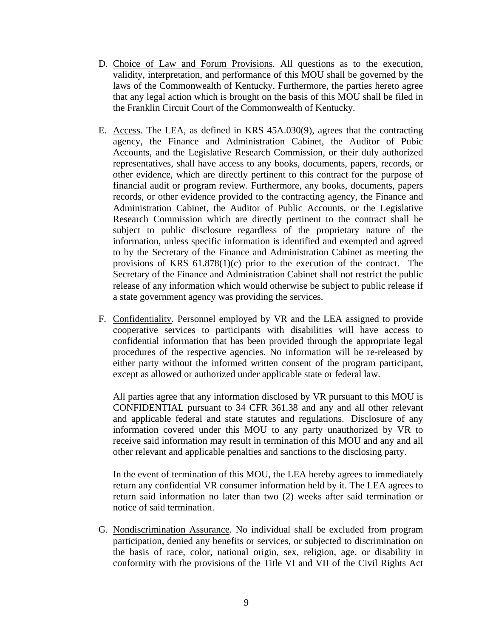- D. Choice of Law and Forum Provisions. All questions as to the execution, validity, interpretation, and performance of this MOU shall be governed by the laws of the Commonwealth of Kentucky. Furthermore, the parties hereto agree that any legal action which is brought on the basis of this MOU shall be filed in the Franklin Circuit Court of the Commonwealth of Kentucky.
- E. Access. The LEA, as defined in KRS 45A.030(9), agrees that the contracting agency, the Finance and Administration Cabinet, the Auditor of Pubic Accounts, and the Legislative Research Commission, or their duly authorized representatives, shall have access to any books, documents, papers, records, or other evidence, which are directly pertinent to this contract for the purpose of financial audit or program review. Furthermore, any books, documents, papers records, or other evidence provided to the contracting agency, the Finance and Administration Cabinet, the Auditor of Public Accounts, or the Legislative Research Commission which are directly pertinent to the contract shall be subject to public disclosure regardless of the proprietary nature of the information, unless specific information is identified and exempted and agreed to by the Secretary of the Finance and Administration Cabinet as meeting the provisions of KRS 61.878(1)(c) prior to the execution of the contract. The Secretary of the Finance and Administration Cabinet shall not restrict the public release of any information which would otherwise be subject to public release if a state government agency was providing the services.
- F. Confidentiality. Personnel employed by VR and the LEA assigned to provide cooperative services to participants with disabilities will have access to confidential information that has been provided through the appropriate legal procedures of the respective agencies. No information will be re-released by either party without the informed written consent of the program participant, except as allowed or authorized under applicable state or federal law.

All parties agree that any information disclosed by VR pursuant to this MOU is CONFIDENTIAL pursuant to 34 CFR 361.38 and any and all other relevant and applicable federal and state statutes and regulations. Disclosure of any information covered under this MOU to any party unauthorized by VR to receive said information may result in termination of this MOU and any and all other relevant and applicable penalties and sanctions to the disclosing party.

In the event of termination of this MOU, the LEA hereby agrees to immediately return any confidential VR consumer information held by it. The LEA agrees to return said information no later than two (2) weeks after said termination or notice of said termination.

G. Nondiscrimination Assurance. No individual shall be excluded from program participation, denied any benefits or services, or subjected to discrimination on the basis of race, color, national origin, sex, religion, age, or disability in conformity with the provisions of the Title VI and VII of the Civil Rights Act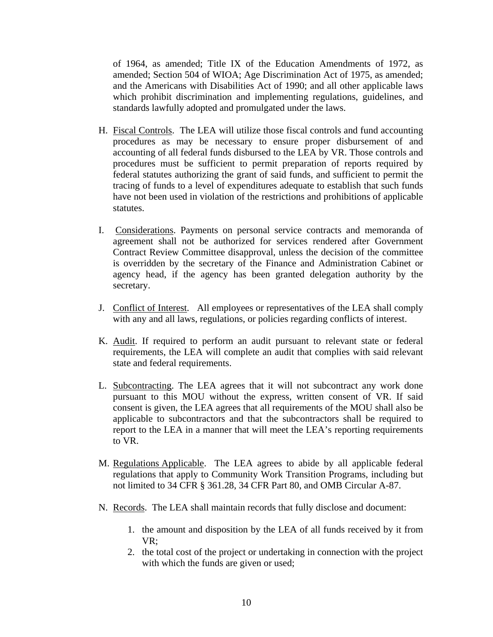of 1964, as amended; Title IX of the Education Amendments of 1972, as amended; Section 504 of WIOA; Age Discrimination Act of 1975, as amended; and the Americans with Disabilities Act of 1990; and all other applicable laws which prohibit discrimination and implementing regulations, guidelines, and standards lawfully adopted and promulgated under the laws.

- H. Fiscal Controls. The LEA will utilize those fiscal controls and fund accounting procedures as may be necessary to ensure proper disbursement of and accounting of all federal funds disbursed to the LEA by VR. Those controls and procedures must be sufficient to permit preparation of reports required by federal statutes authorizing the grant of said funds, and sufficient to permit the tracing of funds to a level of expenditures adequate to establish that such funds have not been used in violation of the restrictions and prohibitions of applicable statutes.
- I. Considerations. Payments on personal service contracts and memoranda of agreement shall not be authorized for services rendered after Government Contract Review Committee disapproval, unless the decision of the committee is overridden by the secretary of the Finance and Administration Cabinet or agency head, if the agency has been granted delegation authority by the secretary.
- J. Conflict of Interest. All employees or representatives of the LEA shall comply with any and all laws, regulations, or policies regarding conflicts of interest.
- K. Audit. If required to perform an audit pursuant to relevant state or federal requirements, the LEA will complete an audit that complies with said relevant state and federal requirements.
- L. Subcontracting. The LEA agrees that it will not subcontract any work done pursuant to this MOU without the express, written consent of VR. If said consent is given, the LEA agrees that all requirements of the MOU shall also be applicable to subcontractors and that the subcontractors shall be required to report to the LEA in a manner that will meet the LEA's reporting requirements to VR.
- M. Regulations Applicable. The LEA agrees to abide by all applicable federal regulations that apply to Community Work Transition Programs, including but not limited to 34 CFR § 361.28, 34 CFR Part 80, and OMB Circular A-87.
- N. Records. The LEA shall maintain records that fully disclose and document:
	- 1. the amount and disposition by the LEA of all funds received by it from VR;
	- 2. the total cost of the project or undertaking in connection with the project with which the funds are given or used;